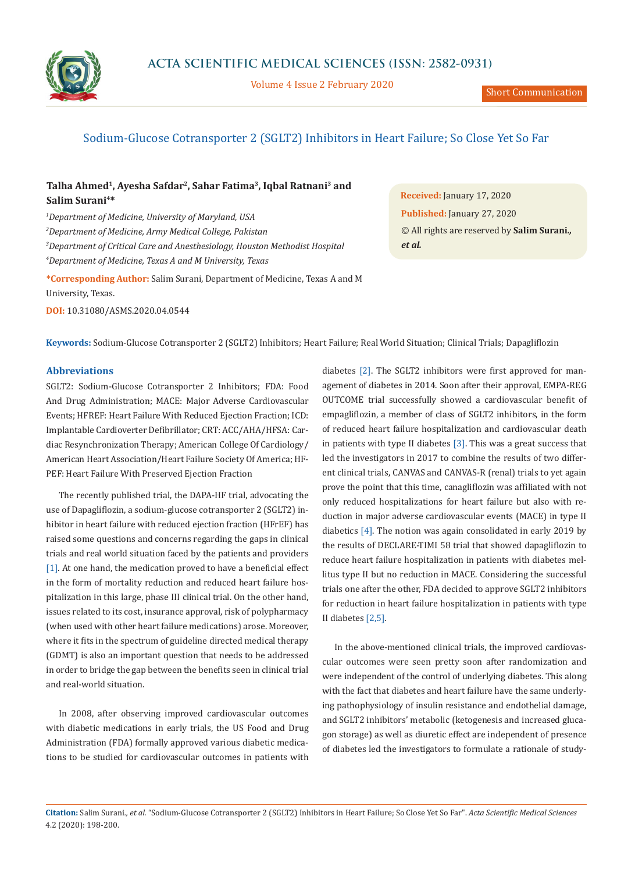

Volume 4 Issue 2 February 2020

# Sodium-Glucose Cotransporter 2 (SGLT2) Inhibitors in Heart Failure; So Close Yet So Far

## **Talha Ahmed1, Ayesha Safdar2, Sahar Fatima3, Iqbal Ratnani3 and Salim Surani4\***

 *Department of Medicine, University of Maryland, USA Department of Medicine, Army Medical College, Pakistan Department of Critical Care and Anesthesiology, Houston Methodist Hospital Department of Medicine, Texas A and M University, Texas*

**\*Corresponding Author:** Salim Surani, Department of Medicine, Texas A and M University, Texas.

**DOI:** [10.31080/ASMS.2020.04.0544](https://actascientific.com/ASMS/pdf/ASMS-04-0544.pdf)

**Received:** January 17, 2020 **Published:** January 27, 2020 © All rights are reserved by **Salim Surani***., et al.*

**Keywords:** Sodium-Glucose Cotransporter 2 (SGLT2) Inhibitors; Heart Failure; Real World Situation; Clinical Trials; Dapagliflozin

#### **Abbreviations**

SGLT2: Sodium-Glucose Cotransporter 2 Inhibitors; FDA: Food And Drug Administration; MACE: Major Adverse Cardiovascular Events; HFREF: Heart Failure With Reduced Ejection Fraction; ICD: Implantable Cardioverter Defibrillator; CRT: ACC/AHA/HFSA: Cardiac Resynchronization Therapy; American College Of Cardiology/ American Heart Association/Heart Failure Society Of America; HF-PEF: Heart Failure With Preserved Ejection Fraction

The recently published trial, the DAPA-HF trial, advocating the use of Dapagliflozin, a sodium-glucose cotransporter 2 (SGLT2) inhibitor in heart failure with reduced ejection fraction (HFrEF) has raised some questions and concerns regarding the gaps in clinical trials and real world situation faced by the patients and providers [1]. At one hand, the medication proved to have a beneficial effect in the form of mortality reduction and reduced heart failure hospitalization in this large, phase III clinical trial. On the other hand, issues related to its cost, insurance approval, risk of polypharmacy (when used with other heart failure medications) arose. Moreover, where it fits in the spectrum of guideline directed medical therapy (GDMT) is also an important question that needs to be addressed in order to bridge the gap between the benefits seen in clinical trial and real-world situation.

In 2008, after observing improved cardiovascular outcomes with diabetic medications in early trials, the US Food and Drug Administration (FDA) formally approved various diabetic medications to be studied for cardiovascular outcomes in patients with

diabetes [2]. The SGLT2 inhibitors were first approved for management of diabetes in 2014. Soon after their approval, EMPA-REG OUTCOME trial successfully showed a cardiovascular benefit of empagliflozin, a member of class of SGLT2 inhibitors, in the form of reduced heart failure hospitalization and cardiovascular death in patients with type II diabetes [3]. This was a great success that led the investigators in 2017 to combine the results of two different clinical trials, CANVAS and CANVAS-R (renal) trials to yet again prove the point that this time, canagliflozin was affiliated with not only reduced hospitalizations for heart failure but also with reduction in major adverse cardiovascular events (MACE) in type II diabetics [4]. The notion was again consolidated in early 2019 by the results of DECLARE-TIMI 58 trial that showed dapagliflozin to reduce heart failure hospitalization in patients with diabetes mellitus type II but no reduction in MACE. Considering the successful trials one after the other, FDA decided to approve SGLT2 inhibitors for reduction in heart failure hospitalization in patients with type II diabetes [2,5].

In the above-mentioned clinical trials, the improved cardiovascular outcomes were seen pretty soon after randomization and were independent of the control of underlying diabetes. This along with the fact that diabetes and heart failure have the same underlying pathophysiology of insulin resistance and endothelial damage, and SGLT2 inhibitors' metabolic (ketogenesis and increased glucagon storage) as well as diuretic effect are independent of presence of diabetes led the investigators to formulate a rationale of study-

**Citation:** Salim Surani*., et al.* "Sodium-Glucose Cotransporter 2 (SGLT2) Inhibitors in Heart Failure; So Close Yet So Far". *Acta Scientific Medical Sciences*  4.2 (2020): 198-200.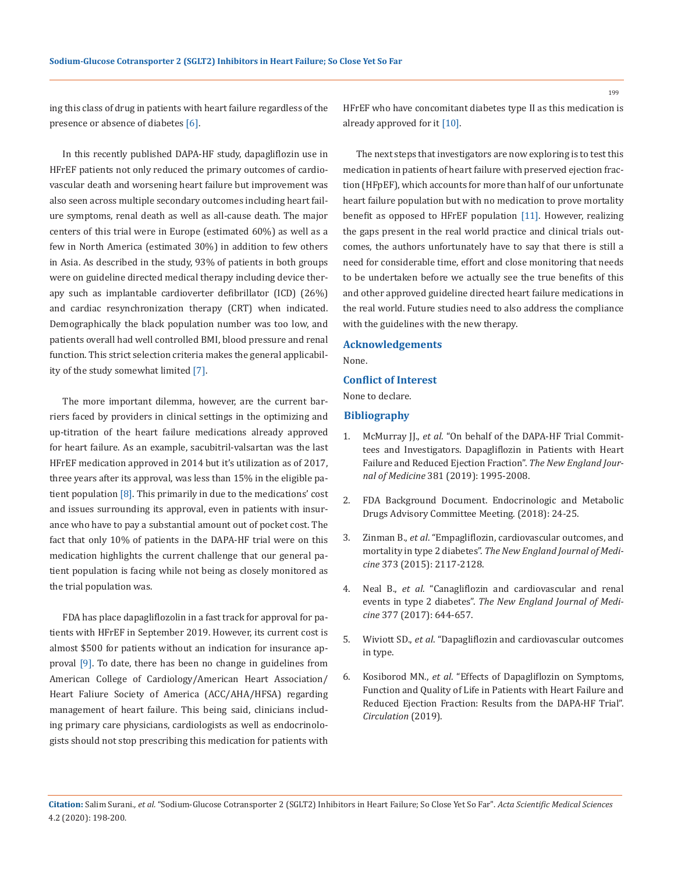ing this class of drug in patients with heart failure regardless of the presence or absence of diabetes [6].

In this recently published DAPA-HF study, dapagliflozin use in HFrEF patients not only reduced the primary outcomes of cardiovascular death and worsening heart failure but improvement was also seen across multiple secondary outcomes including heart failure symptoms, renal death as well as all-cause death. The major centers of this trial were in Europe (estimated 60%) as well as a few in North America (estimated 30%) in addition to few others in Asia. As described in the study, 93% of patients in both groups were on guideline directed medical therapy including device therapy such as implantable cardioverter defibrillator (ICD) (26%) and cardiac resynchronization therapy (CRT) when indicated. Demographically the black population number was too low, and patients overall had well controlled BMI, blood pressure and renal function. This strict selection criteria makes the general applicability of the study somewhat limited [7].

The more important dilemma, however, are the current barriers faced by providers in clinical settings in the optimizing and up-titration of the heart failure medications already approved for heart failure. As an example, sacubitril-valsartan was the last HFrEF medication approved in 2014 but it's utilization as of 2017, three years after its approval, was less than 15% in the eligible patient population  $[8]$ . This primarily in due to the medications' cost and issues surrounding its approval, even in patients with insurance who have to pay a substantial amount out of pocket cost. The fact that only 10% of patients in the DAPA-HF trial were on this medication highlights the current challenge that our general patient population is facing while not being as closely monitored as the trial population was.

FDA has place dapagliflozolin in a fast track for approval for patients with HFrEF in September 2019. However, its current cost is almost \$500 for patients without an indication for insurance approval [9]. To date, there has been no change in guidelines from American College of Cardiology/American Heart Association/ Heart Faliure Society of America (ACC/AHA/HFSA) regarding management of heart failure. This being said, clinicians including primary care physicians, cardiologists as well as endocrinologists should not stop prescribing this medication for patients with HFrEF who have concomitant diabetes type II as this medication is already approved for it [10].

The next steps that investigators are now exploring is to test this medication in patients of heart failure with preserved ejection fraction (HFpEF), which accounts for more than half of our unfortunate heart failure population but with no medication to prove mortality benefit as opposed to HFrEF population [11]. However, realizing the gaps present in the real world practice and clinical trials outcomes, the authors unfortunately have to say that there is still a need for considerable time, effort and close monitoring that needs to be undertaken before we actually see the true benefits of this and other approved guideline directed heart failure medications in the real world. Future studies need to also address the compliance with the guidelines with the new therapy.

#### **Acknowledgements**

None.

#### **Conflict of Interest**

None to declare.

#### **Bibliography**

- 1. McMurray JJ., *et al*[. "On behalf of the DAPA-HF Trial Commit](https://www.acc.org/latest-in-cardiology/clinical-trials/2019/08/30/21/33/dapa-hf)[tees and Investigators. Dapagliflozin in Patients with Heart](https://www.acc.org/latest-in-cardiology/clinical-trials/2019/08/30/21/33/dapa-hf)  [Failure and Reduced Ejection Fraction".](https://www.acc.org/latest-in-cardiology/clinical-trials/2019/08/30/21/33/dapa-hf) *The New England Journal of Medicine* [381 \(2019\): 1995-2008.](https://www.acc.org/latest-in-cardiology/clinical-trials/2019/08/30/21/33/dapa-hf)
- 2. FDA Background Document. Endocrinologic and Metabolic Drugs Advisory Committee Meeting. (2018): 24-25.
- 3. Zinman B., *et al*[. "Empagliflozin, cardiovascular outcomes, and](https://www.nejm.org/doi/full/10.1056/NEJMoa1504720)  mortality in type 2 diabetes". *[The New England Journal of Medi](https://www.nejm.org/doi/full/10.1056/NEJMoa1504720)cine* [373 \(2015\): 2117-2128.](https://www.nejm.org/doi/full/10.1056/NEJMoa1504720)
- 4. Neal B., *et al*[. "Canagliflozin and cardiovascular and renal](https://www.nejm.org/doi/full/10.1056/NEJMoa1611925)  events in type 2 diabetes". *[The New England Journal of Medi](https://www.nejm.org/doi/full/10.1056/NEJMoa1611925)cine* [377 \(2017\): 644-657.](https://www.nejm.org/doi/full/10.1056/NEJMoa1611925)
- 5. Wiviott SD., *et al*. "Dapagliflozin and cardiovascular outcomes in type.
- 6. Kosiborod MN., *et al*[. "Effects of Dapagliflozin on Symptoms,](https://www.ahajournals.org/doi/pdf/10.1161/CIRCULATIONAHA.119.044138)  [Function and Quality of Life in Patients with Heart Failure and](https://www.ahajournals.org/doi/pdf/10.1161/CIRCULATIONAHA.119.044138)  [Reduced Ejection Fraction: Results from the DAPA-HF Trial".](https://www.ahajournals.org/doi/pdf/10.1161/CIRCULATIONAHA.119.044138)  *[Circulation](https://www.ahajournals.org/doi/pdf/10.1161/CIRCULATIONAHA.119.044138)* (2019).

199

**Citation:** Salim Surani*., et al.* "Sodium-Glucose Cotransporter 2 (SGLT2) Inhibitors in Heart Failure; So Close Yet So Far". *Acta Scientific Medical Sciences*  4.2 (2020): 198-200.